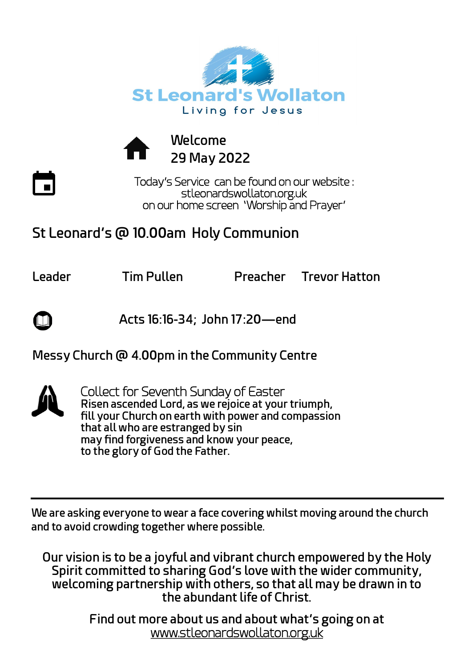



Today's Service can be found on our website : stleonardswollaton.org.uk on our home screen 'Worship and Prayer'

## **St Leonard's @ 10.00am Holy Communion**

**Leader Tim Pullen Preacher Trevor Hatton** 

 **Acts 16:16-34; John 17:20—end**

## **Messy Church @ 4.00pm in the Community Centre**



Collect for Seventh Sunday of Easter **Risen ascended Lord, as we rejoice at your triumph, fill your Church on earth with power and compassion that all who are estranged by sin may find forgiveness and know your peace, to the glory of God the Father.**

**We are asking everyone to wear a face covering whilst moving around the church and to avoid crowding together where possible.**

**Our vision is to be a joyful and vibrant church empowered by the Holy Spirit committed to sharing God's love with the wider community, welcoming partnership with others, so that all may be drawn in to the abundant life of Christ.**

> **Find out more about us and about what's going on at**  [www.stleonardswollaton.org.uk](http://www.stleonardswollaton.org.uk/)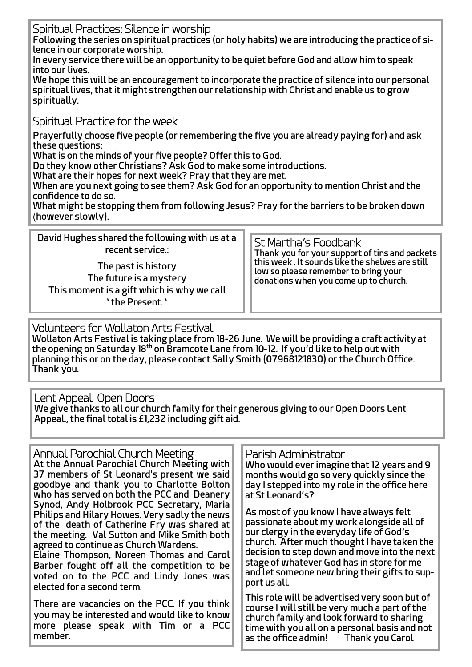Spiritual Practices: Silence in worship

**Following the series on spiritual practices (or holy habits) we are introducing the practice of silence in our corporate worship.**

**In every service there will be an opportunity to be quiet before God and allow him to speak into our lives.**

**We hope this will be an encouragement to incorporate the practice of silence into our personal spiritual lives, that it might strengthen our relationship with Christ and enable us to grow spiritually.**

Spiritual Practice for the week

**Prayerfully choose five people (or remembering the five you are already paying for) and ask these questions:**

**What is on the minds of your five people? Offer this to God.**

**Do they know other Christians? Ask God to make some introductions.**

**What are their hopes for next week? Pray that they are met.**

**When are you next going to see them? Ask God for an opportunity to mention Christ and the confidence to do so.**

**What might be stopping them from following Jesus? Pray for the barriers to be broken down**  (**however slowly).**

| David Hughes shared the following with us at a<br>recent service.:                                               | St Martha's Foodbank<br>$\fbox{ \begin{tabular}{0} That is the number of the image is the number of the image is the number of the image is the number of the image is the number of the image is the number of the image is the number of the image is the number of the image is the number of the image is the number of the image is the number of the image is the number of the image is the number of the image is the number of the image is the number of the image is the number of the image is the number of the image is the number of the image is the number of the image is the number of the image is the number of the image is the number of the image is the number of the image is the number of the image is the number of the image is the number of the image is the number of the image is the number of the image is the number of the image is the number of the image is the number of the image is the number of the image is the number of the image is the number of the image is the number$<br>low so please remember to bring your<br>donations when you come up to church. |
|------------------------------------------------------------------------------------------------------------------|---------------------------------------------------------------------------------------------------------------------------------------------------------------------------------------------------------------------------------------------------------------------------------------------------------------------------------------------------------------------------------------------------------------------------------------------------------------------------------------------------------------------------------------------------------------------------------------------------------------------------------------------------------------------------------------------------------------------------------------------------------------------------------------------------------------------------------------------------------------------------------------------------------------------------------------------------------------------------------------------------------------------------------------------------------------------------------------------------------------|
| The past is history<br>The future is a mystery<br>This moment is a gift which is why we call<br>' the Present. ' |                                                                                                                                                                                                                                                                                                                                                                                                                                                                                                                                                                                                                                                                                                                                                                                                                                                                                                                                                                                                                                                                                                               |

Volunteers for Wollaton Arts Festival

**Wollaton Arts Festival is taking place from 18-26 June. We will be providing a craft activity at the opening on Saturday 18th on Bramcote Lane from 10-12. If you'd like to help out with planning this or on the day, please contact Sally Smith (07968121830) or the Church Office. Thank you.**

Lent Appeal Open Doors **We give thanks to all our church family for their generous giving to our Open Doors Lent Appeal., the final total is £1,232 including gift aid.**

| Annual Parochial Church Meeting<br>At the Annual Parochial Church Meeting with<br>37 members of St Leonard's present we said<br>goodbye and thank you to Charlotte Bolton<br>who has served on both the PCC and Deanery<br>Synod, Andy Holbrook PCC Secretary, Maria<br>Philips and Hilary Howes. Very sadly the news<br>of the death of Catherine Fry was shared at<br>the meeting. Val Sutton and Mike Smith both<br>agreed to continue as Church Wardens.<br>Elaine Thompson, Noreen Thomas and Carol<br>Barber fought off all the competition to be<br>voted on to the PCC and Lindy Jones was<br>elected for a second term. | Parish Administrator<br>Who would ever imagine that 12 years and 9<br>months would go so very quickly since the<br>day I stepped into my role in the office here<br>at St Leonard's?<br>As most of you know I have always felt<br>passionate about my work alongside all of<br>our clergy in the everyday life of God's<br>church. After much thought I have taken the<br>decision to step down and move into the next<br>stage of whatever God has in store for me<br>and let someone new bring their gifts to sup-<br>port us all. |
|----------------------------------------------------------------------------------------------------------------------------------------------------------------------------------------------------------------------------------------------------------------------------------------------------------------------------------------------------------------------------------------------------------------------------------------------------------------------------------------------------------------------------------------------------------------------------------------------------------------------------------|--------------------------------------------------------------------------------------------------------------------------------------------------------------------------------------------------------------------------------------------------------------------------------------------------------------------------------------------------------------------------------------------------------------------------------------------------------------------------------------------------------------------------------------|
| There are vacancies on the PCC. If you think<br>you may be interested and would like to know<br>more please speak with Tim or a PCC<br>member.                                                                                                                                                                                                                                                                                                                                                                                                                                                                                   | This role will be advertised very soon but of<br>course I will still be very much a part of the<br>church family and look forward to sharing<br>time with you all on a personal basis and not<br>as the office admin! Thank you Carol                                                                                                                                                                                                                                                                                                |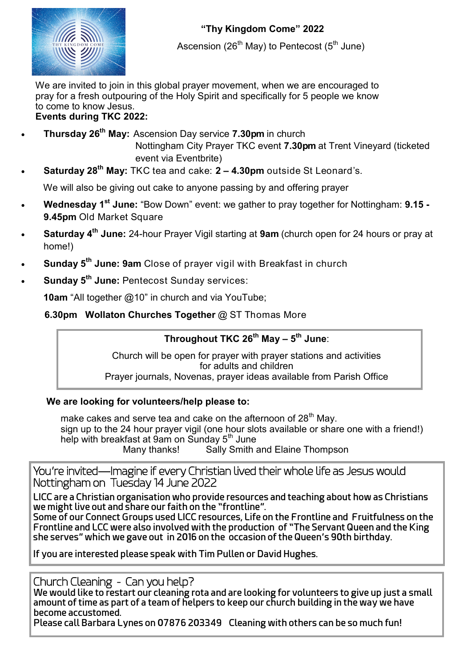

Ascension (26<sup>th</sup> May) to Pentecost (5<sup>th</sup> June)

We are invited to join in this global prayer movement, when we are encouraged to pray for a fresh outpouring of the Holy Spirit and specifically for 5 people we know to come to know Jesus. **Events during TKC 2022:**

- 
- **Thursday 26th May:** Ascension Day service **7.30pm** in church Nottingham City Prayer TKC event **7.30pm** at Trent Vineyard (ticketed event via Eventbrite)
- **Saturday 28th May:** TKC tea and cake: **2 – 4.30pm** outside St Leonard's.

We will also be giving out cake to anyone passing by and offering prayer

- **Wednesday 1st June:** "Bow Down" event: we gather to pray together for Nottingham: **9.15 - 9.45pm** Old Market Square
- **Saturday 4th June:** 24-hour Prayer Vigil starting at **9am** (church open for 24 hours or pray at home!)
- **Sunday 5th June: 9am** Close of prayer vigil with Breakfast in church
- **Sunday 5th June:** Pentecost Sunday services:

 **10am** "All together @10" in church and via YouTube;

**6.30pm Wollaton Churches Together** @ ST Thomas More

## **Throughout TKC 26th May – 5 th June**:

Church will be open for prayer with prayer stations and activities for adults and children Prayer journals, Novenas, prayer ideas available from Parish Office

## **We are looking for volunteers/help please to:**

make cakes and serve tea and cake on the afternoon of 28<sup>th</sup> Mav. sign up to the 24 hour prayer vigil (one hour slots available or share one with a friend!) help with breakfast at 9am on Sunday 5<sup>th</sup> June Many thanks! Sally Smith and Elaine Thompson

You're invited—Imagine if every Christian lived their whole life as Jesus would Nottingham on Tuesday 14 June 2022

**LICC are a Christian organisation who provide resources and teaching about how as Christians we might live out and share our faith on the "frontline".**

**Some of our Connect Groups used LICC resources, Life on the Frontline and Fruitfulness on the Frontline and LCC were also involved with the production of "The Servant Queen and the King she serves" which we gave out in 2016 on the occasion of the Queen's 90th birthday.**

**If you are interested please speak with Tim Pullen or David Hughes.**

Church Cleaning - Can you help?

**We would like to restart our cleaning rota and are looking for volunteers to give up just a small amount of time as part of a team of helpers to keep our church building in the way we have become accustomed.**

**Please call Barbara Lynes on 07876 203349 Cleaning with others can be so much fun!**